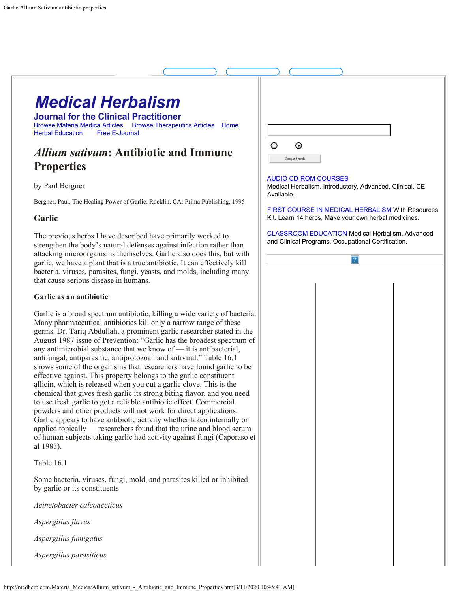# **Medical Herbalism**

**Journal for the Clinical Practitioner** [Browse](http://medherb.com/Materia_Medica/materia_medica.htm) Materia [Medica Articles](http://medherb.com/Materia_Medica/materia_medica.htm) Browse [Therapeutics](http://medherb.com/Therapeutics/therapeutics.htm) [Articles](http://medherb.com/Therapeutics/therapeutics.htm) [Home](http://medherb.com/) [Herbal Education](http://naimh.com/) [Free](http://medherb.com/ejournal.html) [E-Journal](http://medherb.com/ejournal.html)

# *Allium sativum***: Antibiotic and Immune Properties**

by Paul Bergner

Bergner, Paul. The Healing Power of Garlic. Rocklin, CA: Prima Publishing, 1995

# **Garlic**

The previous herbs I have described have primarily worked to strengthen the body's natural defenses against infection rather than attacking microorganisms themselves. Garlic also does this, but with garlic, we have a plant that is a true antibiotic. It can effectively kill bacteria, viruses, parasites, fungi, yeasts, and molds, including many that cause serious disease in humans.

# **Garlic as an antibiotic**

Garlic is a broad spectrum antibiotic, killing a wide variety of bacteria. Many pharmaceutical antibiotics kill only a narrow range of these germs. Dr. Tariq Abdullah, a prominent garlic researcher stated in the August 1987 issue of Prevention: "Garlic has the broadest spectrum of any antimicrobial substance that we know of — it is antibacterial, antifungal, antiparasitic, antiprotozoan and antiviral." Table 16.1 shows some of the organisms that researchers have found garlic to be effective against. This property belongs to the garlic constituent allicin, which is released when you cut a garlic clove. This is the chemical that gives fresh garlic its strong biting flavor, and you need to use fresh garlic to get a reliable antibiotic effect. Commercial powders and other products will not work for direct applications. Garlic appears to have antibiotic activity whether taken internally or applied topically — researchers found that the urine and blood serum of human subjects taking garlic had activity against fungi (Caporaso et al 1983).

# Table 16.1

Some bacteria, viruses, fungi, mold, and parasites killed or inhibited by garlic or its constituents

*Acinetobacter calcoaceticus*

*Aspergillus flavus*

*Aspergillus fumigatus*

*Aspergillus parasiticus*

| $\boldsymbol{\odot}$                      |                                                                                                              |  |
|-------------------------------------------|--------------------------------------------------------------------------------------------------------------|--|
| Google Search                             |                                                                                                              |  |
| <b>AUDIO CD-ROM COURSES</b><br>Available. | Medical Herbalism. Introductory, Advanced, Clinical. CE                                                      |  |
|                                           | FIRST COURSE IN MEDICAL HERBALISM With Resources<br>Kit. Learn 14 herbs, Make your own herbal medicines.     |  |
|                                           | <b>CLASSROOM EDUCATION</b> Medical Herbalism. Advanced<br>and Clinical Programs. Occupational Certification. |  |
|                                           | 2                                                                                                            |  |
|                                           |                                                                                                              |  |
|                                           |                                                                                                              |  |
|                                           |                                                                                                              |  |
|                                           |                                                                                                              |  |
|                                           |                                                                                                              |  |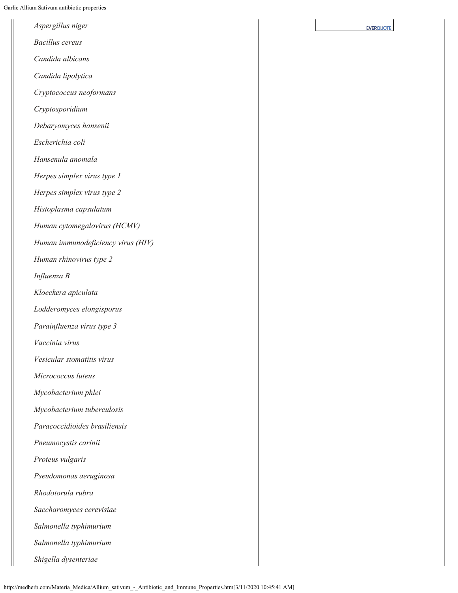| Aspergillus niger                  | <b>EVERQUOTE</b> |
|------------------------------------|------------------|
| <b>Bacillus</b> cereus             |                  |
| Candida albicans                   |                  |
| Candida lipolytica                 |                  |
| Cryptococcus neoformans            |                  |
| Cryptosporidium                    |                  |
| Debaryomyces hansenii              |                  |
| Escherichia coli                   |                  |
| Hansenula anomala                  |                  |
| Herpes simplex virus type 1        |                  |
| Herpes simplex virus type 2        |                  |
| Histoplasma capsulatum             |                  |
| Human cytomegalovirus (HCMV)       |                  |
| Human immunodeficiency virus (HIV) |                  |
| Human rhinovirus type 2            |                  |
| Influenza B                        |                  |
| Kloeckera apiculata                |                  |
| Lodderomyces elongisporus          |                  |
| Parainfluenza virus type 3         |                  |
| Vaccinia virus                     |                  |
| Vesicular stomatitis virus         |                  |
| Micrococcus luteus                 |                  |
| Mycobacterium phlei                |                  |
| Mycobacterium tuberculosis         |                  |
| Paracoccidioides brasiliensis      |                  |
| Pneumocystis carinii               |                  |
| Proteus vulgaris                   |                  |
| Pseudomonas aeruginosa             |                  |
| Rhodotorula rubra                  |                  |
| Saccharomyces cerevisiae           |                  |
| Salmonella typhimurium             |                  |
| Salmonella typhimurium             |                  |
| Shigella dysenteriae               |                  |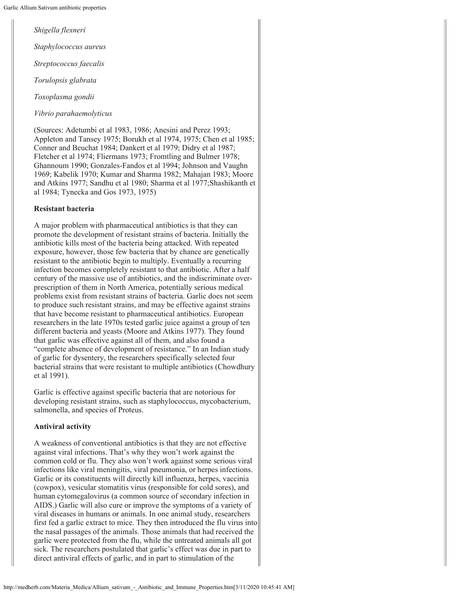*Shigella flexneri Staphylococcus aureus Streptococcus faecalis Torulopsis glabrata*

*Toxoplasma gondii*

*Vibrio parahaemolyticus*

(Sources: Adetumbi et al 1983, 1986; Anesini and Perez 1993; Appleton and Tansey 1975; Borukh et al 1974, 1975; Chen et al 1985; Conner and Beuchat 1984; Dankert et al 1979; Didry et al 1987; Fletcher et al 1974; Fliermans 1973; Fromtling and Bulmer 1978; Ghannoum 1990; Gonzales-Fandos et al 1994; Johnson and Vaughn 1969; Kabelik 1970; Kumar and Sharma 1982; Mahajan 1983; Moore and Atkins 1977; Sandhu et al 1980; Sharma et al 1977;Shashikanth et al 1984; Tynecka and Gos 1973, 1975)

#### **Resistant bacteria**

A major problem with pharmaceutical antibiotics is that they can promote the development of resistant strains of bacteria. Initially the antibiotic kills most of the bacteria being attacked. With repeated exposure, however, those few bacteria that by chance are genetically resistant to the antibiotic begin to multiply. Eventually a recurring infection becomes completely resistant to that antibiotic. After a half century of the massive use of antibiotics, and the indiscriminate overprescription of them in North America, potentially serious medical problems exist from resistant strains of bacteria. Garlic does not seem to produce such resistant strains, and may be effective against strains that have become resistant to pharmaceutical antibiotics. European researchers in the late 1970s tested garlic juice against a group of ten different bacteria and yeasts (Moore and Atkins 1977). They found that garlic was effective against all of them, and also found a "complete absence of development of resistance." In an Indian study of garlic for dysentery, the researchers specifically selected four bacterial strains that were resistant to multiple antibiotics (Chowdhury et al 1991).

Garlic is effective against specific bacteria that are notorious for developing resistant strains, such as staphylococcus, mycobacterium, salmonella, and species of Proteus.

#### **Antiviral activity**

A weakness of conventional antibiotics is that they are not effective against viral infections. That's why they won't work against the common cold or flu. They also won't work against some serious viral infections like viral meningitis, viral pneumonia, or herpes infections. Garlic or its constituents will directly kill influenza, herpes, vaccinia (cowpox), vesicular stomatitis virus (responsible for cold sores), and human cytomegalovirus (a common source of secondary infection in AIDS.) Garlic will also cure or improve the symptoms of a variety of viral diseases in humans or animals. In one animal study, researchers first fed a garlic extract to mice. They then introduced the flu virus into the nasal passages of the animals. Those animals that had received the garlic were protected from the flu, while the untreated animals all got sick. The researchers postulated that garlic's effect was due in part to direct antiviral effects of garlic, and in part to stimulation of the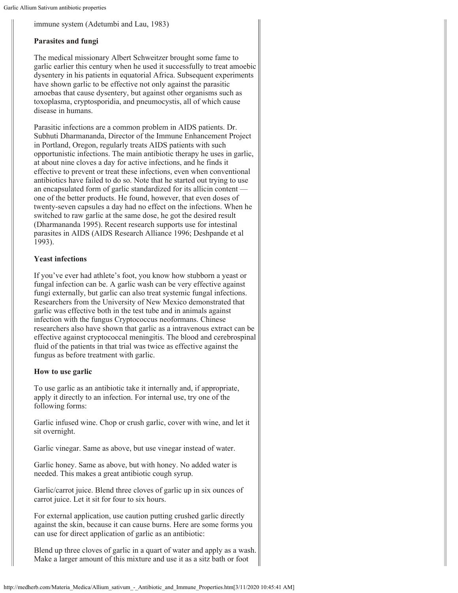Garlic Allium Sativum antibiotic properties

immune system (Adetumbi and Lau, 1983)

# **Parasites and fungi**

The medical missionary Albert Schweitzer brought some fame to garlic earlier this century when he used it successfully to treat amoebic dysentery in his patients in equatorial Africa. Subsequent experiments have shown garlic to be effective not only against the parasitic amoebas that cause dysentery, but against other organisms such as toxoplasma, cryptosporidia, and pneumocystis, all of which cause disease in humans.

Parasitic infections are a common problem in AIDS patients. Dr. Subhuti Dharmananda, Director of the Immune Enhancement Project in Portland, Oregon, regularly treats AIDS patients with such opportunistic infections. The main antibiotic therapy he uses in garlic, at about nine cloves a day for active infections, and he finds it effective to prevent or treat these infections, even when conventional antibiotics have failed to do so. Note that he started out trying to use an encapsulated form of garlic standardized for its allicin content one of the better products. He found, however, that even doses of twenty-seven capsules a day had no effect on the infections. When he switched to raw garlic at the same dose, he got the desired result (Dharmananda 1995). Recent research supports use for intestinal parasites in AIDS (AIDS Research Alliance 1996; Deshpande et al 1993).

# **Yeast infections**

If you've ever had athlete's foot, you know how stubborn a yeast or fungal infection can be. A garlic wash can be very effective against fungi externally, but garlic can also treat systemic fungal infections. Researchers from the University of New Mexico demonstrated that garlic was effective both in the test tube and in animals against infection with the fungus Cryptococcus neoformans. Chinese researchers also have shown that garlic as a intravenous extract can be effective against cryptococcal meningitis. The blood and cerebrospinal fluid of the patients in that trial was twice as effective against the fungus as before treatment with garlic.

# **How to use garlic**

To use garlic as an antibiotic take it internally and, if appropriate, apply it directly to an infection. For internal use, try one of the following forms:

Garlic infused wine. Chop or crush garlic, cover with wine, and let it sit overnight.

Garlic vinegar. Same as above, but use vinegar instead of water.

Garlic honey. Same as above, but with honey. No added water is needed. This makes a great antibiotic cough syrup.

Garlic/carrot juice. Blend three cloves of garlic up in six ounces of carrot juice. Let it sit for four to six hours.

For external application, use caution putting crushed garlic directly against the skin, because it can cause burns. Here are some forms you can use for direct application of garlic as an antibiotic:

Blend up three cloves of garlic in a quart of water and apply as a wash. Make a larger amount of this mixture and use it as a sitz bath or foot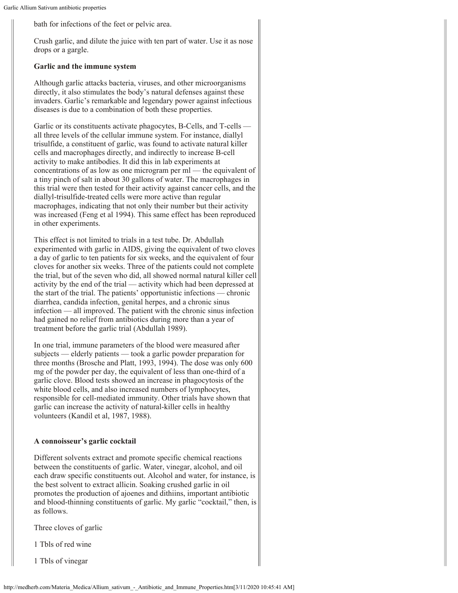bath for infections of the feet or pelvic area.

Crush garlic, and dilute the juice with ten part of water. Use it as nose drops or a gargle.

### **Garlic and the immune system**

Although garlic attacks bacteria, viruses, and other microorganisms directly, it also stimulates the body's natural defenses against these invaders. Garlic's remarkable and legendary power against infectious diseases is due to a combination of both these properties.

Garlic or its constituents activate phagocytes, B-Cells, and T-cells all three levels of the cellular immune system. For instance, diallyl trisulfide, a constituent of garlic, was found to activate natural killer cells and macrophages directly, and indirectly to increase B-cell activity to make antibodies. It did this in lab experiments at concentrations of as low as one microgram per ml — the equivalent of a tiny pinch of salt in about 30 gallons of water. The macrophages in this trial were then tested for their activity against cancer cells, and the diallyl-trisulfide-treated cells were more active than regular macrophages, indicating that not only their number but their activity was increased (Feng et al 1994). This same effect has been reproduced in other experiments.

This effect is not limited to trials in a test tube. Dr. Abdullah experimented with garlic in AIDS, giving the equivalent of two cloves a day of garlic to ten patients for six weeks, and the equivalent of four cloves for another six weeks. Three of the patients could not complete the trial, but of the seven who did, all showed normal natural killer cell activity by the end of the trial — activity which had been depressed at the start of the trial. The patients' opportunistic infections — chronic diarrhea, candida infection, genital herpes, and a chronic sinus infection — all improved. The patient with the chronic sinus infection had gained no relief from antibiotics during more than a year of treatment before the garlic trial (Abdullah 1989).

In one trial, immune parameters of the blood were measured after subjects — elderly patients — took a garlic powder preparation for three months (Brosche and Platt, 1993, 1994). The dose was only 600 mg of the powder per day, the equivalent of less than one-third of a garlic clove. Blood tests showed an increase in phagocytosis of the white blood cells, and also increased numbers of lymphocytes, responsible for cell-mediated immunity. Other trials have shown that garlic can increase the activity of natural-killer cells in healthy volunteers (Kandil et al, 1987, 1988).

# **A connoisseur's garlic cocktail**

Different solvents extract and promote specific chemical reactions between the constituents of garlic. Water, vinegar, alcohol, and oil each draw specific constituents out. Alcohol and water, for instance, is the best solvent to extract allicin. Soaking crushed garlic in oil promotes the production of ajoenes and dithiins, important antibiotic and blood-thinning constituents of garlic. My garlic "cocktail," then, is as follows.

Three cloves of garlic

1 Tbls of red wine

1 Tbls of vinegar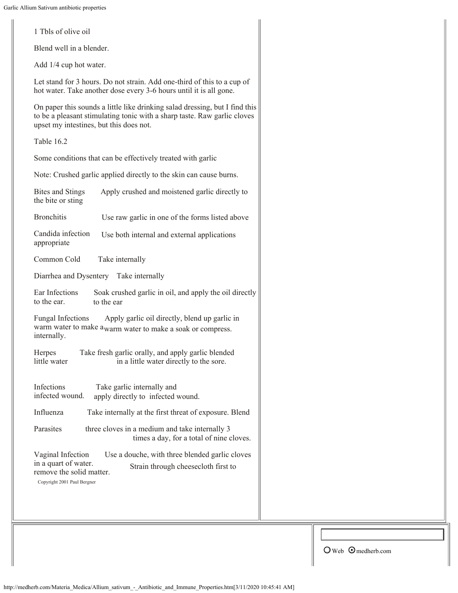1 Tbls of olive oil

Blend well in a blender.

Add 1/4 cup hot water.

Let stand for 3 hours. Do not strain. Add one-third of this to a cup of hot water. Take another dose every 3-6 hours until it is all gone.

On paper this sounds a little like drinking salad dressing, but I find this to be a pleasant stimulating tonic with a sharp taste. Raw garlic cloves upset my intestines, but this does not.

Table 16.2

Some conditions that can be effectively treated with garlic

Note: Crushed garlic applied directly to the skin can cause burns.

| <b>Bites and Stings</b><br>the bite or sting                                                         | Apply crushed and moistened garlic directly to                                                              |
|------------------------------------------------------------------------------------------------------|-------------------------------------------------------------------------------------------------------------|
| <b>Bronchitis</b>                                                                                    | Use raw garlic in one of the forms listed above                                                             |
| Candida infection<br>appropriate                                                                     | Use both internal and external applications                                                                 |
| Common Cold                                                                                          | Take internally                                                                                             |
| Diarrhea and Dysentery Take internally                                                               |                                                                                                             |
| Ear Infections<br>to the ear.                                                                        | Soak crushed garlic in oil, and apply the oil directly<br>to the ear                                        |
| <b>Fungal Infections</b><br>internally.                                                              | Apply garlic oil directly, blend up garlic in<br>warm water to make awarm water to make a soak or compress. |
| Herpes<br>little water                                                                               | Take fresh garlic orally, and apply garlic blended<br>in a little water directly to the sore.               |
| Infections<br>infected wound.                                                                        | Take garlic internally and<br>apply directly to infected wound.                                             |
| Influenza                                                                                            | Take internally at the first threat of exposure. Blend                                                      |
| Parasites                                                                                            | three cloves in a medium and take internally 3<br>times a day, for a total of nine cloves.                  |
| Vaginal Infection<br>in a quart of water.<br>remove the solid matter.<br>Copyright 2001 Paul Bergner | Use a douche, with three blended garlic cloves<br>Strain through cheesecloth first to                       |

 $\bigcirc$  Web  $\bigcirc$  medherb.com